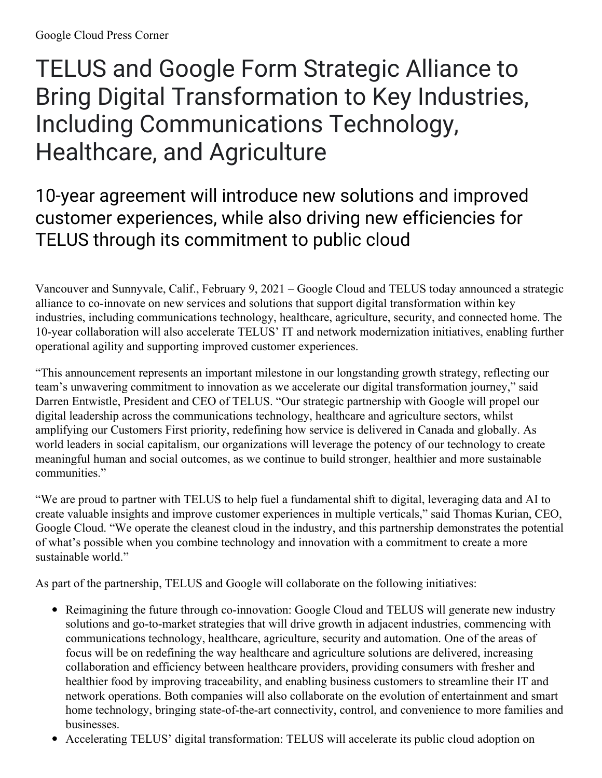# TELUS and Google Form Strategic Alliance to Bring Digital Transformation to Key Industries, Including Communications Technology, Healthcare, and Agriculture

## 10-year agreement will introduce new solutions and improved customer experiences, while also driving new efficiencies for TELUS through its commitment to public cloud

Vancouver and Sunnyvale, Calif., February 9, 2021 – Google Cloud and TELUS today announced a strategic alliance to co-innovate on new services and solutions that support digital transformation within key industries, including communications technology, healthcare, agriculture, security, and connected home. The 10-year collaboration will also accelerate TELUS' IT and network modernization initiatives, enabling further operational agility and supporting improved customer experiences.

"This announcement represents an important milestone in our longstanding growth strategy, reflecting our team's unwavering commitment to innovation as we accelerate our digital transformation journey," said Darren Entwistle, President and CEO of TELUS. "Our strategic partnership with Google will propel our digital leadership across the communications technology, healthcare and agriculture sectors, whilst amplifying our Customers First priority, redefining how service is delivered in Canada and globally. As world leaders in social capitalism, our organizations will leverage the potency of our technology to create meaningful human and social outcomes, as we continue to build stronger, healthier and more sustainable communities."

"We are proud to partner with TELUS to help fuel a fundamental shift to digital, leveraging data and AI to create valuable insights and improve customer experiences in multiple verticals," said Thomas Kurian, CEO, Google Cloud. "We operate the cleanest cloud in the industry, and this partnership demonstrates the potential of what's possible when you combine technology and innovation with a commitment to create a more sustainable world."

As part of the partnership, TELUS and Google will collaborate on the following initiatives:

- Reimagining the future through co-innovation: Google Cloud and TELUS will generate new industry solutions and go-to-market strategies that will drive growth in adjacent industries, commencing with communications technology, healthcare, agriculture, security and automation. One of the areas of focus will be on redefining the way healthcare and agriculture solutions are delivered, increasing collaboration and efficiency between healthcare providers, providing consumers with fresher and healthier food by improving traceability, and enabling business customers to streamline their IT and network operations. Both companies will also collaborate on the evolution of entertainment and smart home technology, bringing state-of-the-art connectivity, control, and convenience to more families and businesses.
- Accelerating TELUS' digital transformation: TELUS will accelerate its public cloud adoption on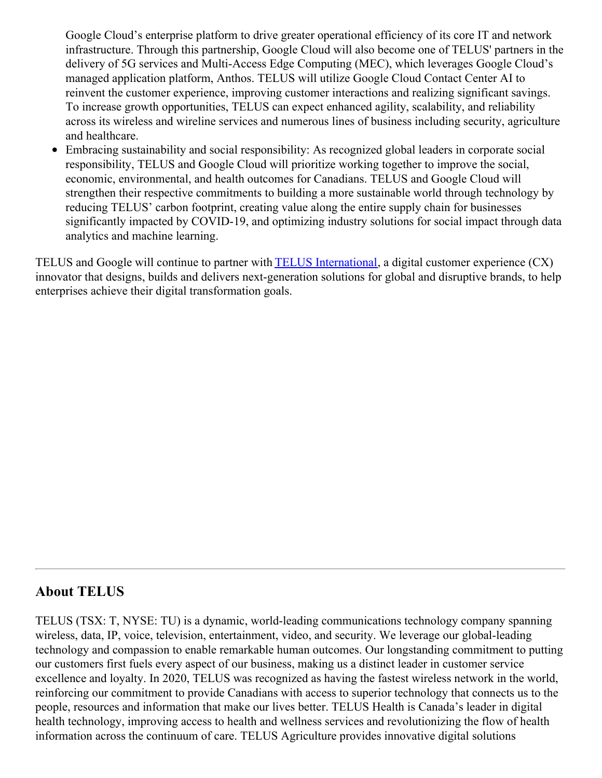Google Cloud's enterprise platform to drive greater operational efficiency of its core IT and network infrastructure. Through this partnership, Google Cloud will also become one of TELUS' partners in the delivery of 5G services and Multi-Access Edge Computing (MEC), which leverages Google Cloud's managed application platform, Anthos. TELUS will utilize Google Cloud Contact Center AI to reinvent the customer experience, improving customer interactions and realizing significant savings. To increase growth opportunities, TELUS can expect enhanced agility, scalability, and reliability across its wireless and wireline services and numerous lines of business including security, agriculture and healthcare.

Embracing sustainability and social responsibility: As recognized global leaders in corporate social responsibility, TELUS and Google Cloud will prioritize working together to improve the social, economic, environmental, and health outcomes for Canadians. TELUS and Google Cloud will strengthen their respective commitments to building a more sustainable world through technology by reducing TELUS' carbon footprint, creating value along the entire supply chain for businesses significantly impacted by COVID-19, and optimizing industry solutions for social impact through data analytics and machine learning.

TELUS and Google will continue to partner with TELUS [International](http://www.telusinternational.com/), a digital customer experience (CX) innovator that designs, builds and delivers next-generation solutions for global and disruptive brands, to help enterprises achieve their digital transformation goals.

#### **About TELUS**

TELUS (TSX: T, NYSE: TU) is a dynamic, world-leading communications technology company spanning wireless, data, IP, voice, television, entertainment, video, and security. We leverage our global-leading technology and compassion to enable remarkable human outcomes. Our longstanding commitment to putting our customers first fuels every aspect of our business, making us a distinct leader in customer service excellence and loyalty. In 2020, TELUS was recognized as having the fastest wireless network in the world, reinforcing our commitment to provide Canadians with access to superior technology that connects us to the people, resources and information that make our lives better. TELUS Health is Canada's leader in digital health technology, improving access to health and wellness services and revolutionizing the flow of health information across the continuum of care. TELUS Agriculture provides innovative digital solutions